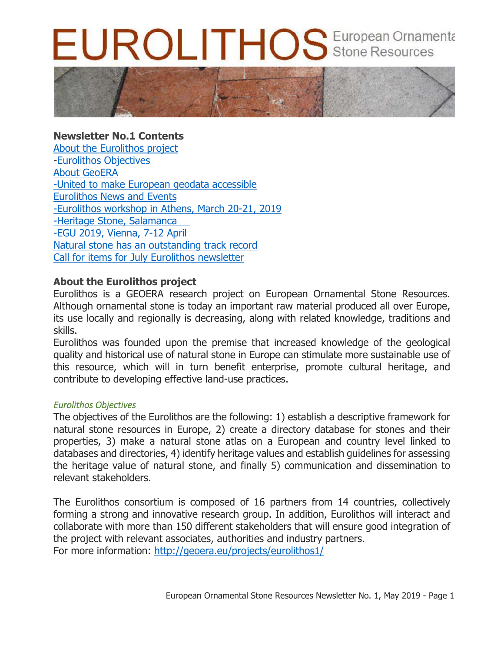# UROLITHOS European Ornamenta



# **Newsletter No.1 Contents**

About the Eurolithos project -Eurolithos Objectives About GeoERA -United to make European geodata accessible Eurolithos News and Events -Eurolithos workshop in Athens, March 20-21, 2019 -Heritage Stone, Salamanca -EGU 2019, Vienna, 7-12 April Natural stone has an outstanding track record Call for items for July Eurolithos newsletter

# **About the Eurolithos project**

Eurolithos is a GEOERA research project on European Ornamental Stone Resources. Although ornamental stone is today an important raw material produced all over Europe, its use locally and regionally is decreasing, along with related knowledge, traditions and skills.

Eurolithos was founded upon the premise that increased knowledge of the geological quality and historical use of natural stone in Europe can stimulate more sustainable use of this resource, which will in turn benefit enterprise, promote cultural heritage, and contribute to developing effective land-use practices.

## *Eurolithos Objectives*

The objectives of the Eurolithos are the following: 1) establish a descriptive framework for natural stone resources in Europe, 2) create a directory database for stones and their properties, 3) make a natural stone atlas on a European and country level linked to databases and directories, 4) identify heritage values and establish guidelines for assessing the heritage value of natural stone, and finally 5) communication and dissemination to relevant stakeholders.

The Eurolithos consortium is composed of 16 partners from 14 countries, collectively forming a strong and innovative research group. In addition, Eurolithos will interact and collaborate with more than 150 different stakeholders that will ensure good integration of the project with relevant associates, authorities and industry partners. For more information: http://geoera.eu/projects/eurolithos1/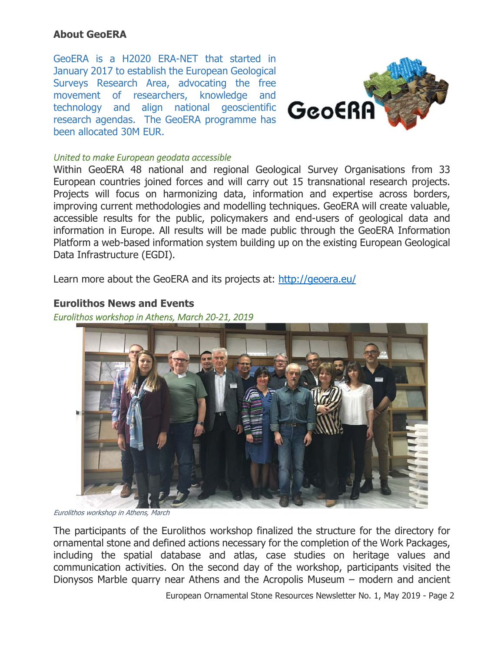# **About GeoERA**

GeoERA is a H2020 ERA-NET that started in January 2017 to establish the European Geological Surveys Research Area, advocating the free movement of researchers, knowledge and technology and align national geoscientific research agendas. The GeoERA programme has been allocated 30M EUR.



#### *United to make European geodata accessible*

Within GeoERA 48 national and regional Geological Survey Organisations from 33 European countries joined forces and will carry out 15 transnational research projects. Projects will focus on harmonizing data, information and expertise across borders, improving current methodologies and modelling techniques. GeoERA will create valuable, accessible results for the public, policymakers and end-users of geological data and information in Europe. All results will be made public through the GeoERA Information Platform a web-based information system building up on the existing European Geological Data Infrastructure (EGDI).

Learn more about the GeoERA and its projects at: http://geoera.eu/

### **Eurolithos News and Events**

*Eurolithos workshop in Athens, March 20‐21, 2019* 



Eurolithos workshop in Athens, March

The participants of the Eurolithos workshop finalized the structure for the directory for ornamental stone and defined actions necessary for the completion of the Work Packages, including the spatial database and atlas, case studies on heritage values and communication activities. On the second day of the workshop, participants visited the Dionysos Marble quarry near Athens and the Acropolis Museum – modern and ancient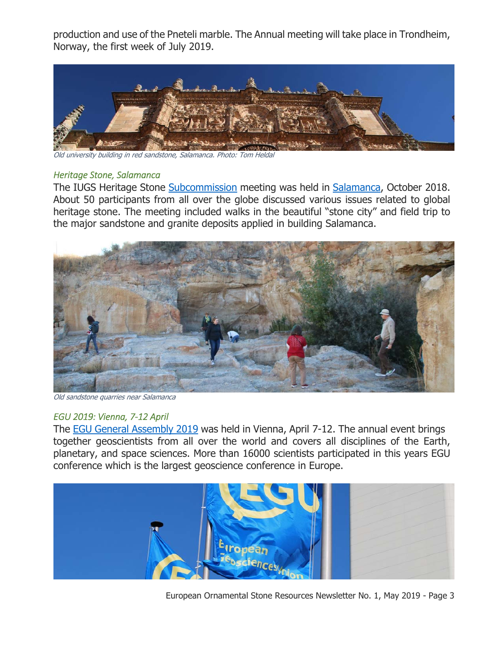production and use of the Pneteli marble. The Annual meeting will take place in Trondheim, Norway, the first week of July 2019.



Old university building in red sandstone, Salamanca. Photo: Tom Heldal

#### *Heritage Stone, Salamanca*

The IUGS Heritage Stone Subcommission meeting was held in Salamanca, October 2018. About 50 participants from all over the globe discussed various issues related to global heritage stone. The meeting included walks in the beautiful "stone city" and field trip to the major sandstone and granite deposits applied in building Salamanca.



Old sandstone quarries near Salamanca

#### *EGU 2019: Vienna, 7‐12 April*

The EGU General Assembly 2019 was held in Vienna, April 7-12. The annual event brings together geoscientists from all over the world and covers all disciplines of the Earth, planetary, and space sciences. More than 16000 scientists participated in this years EGU conference which is the largest geoscience conference in Europe.



European Ornamental Stone Resources Newsletter No. 1, May 2019 - Page 3